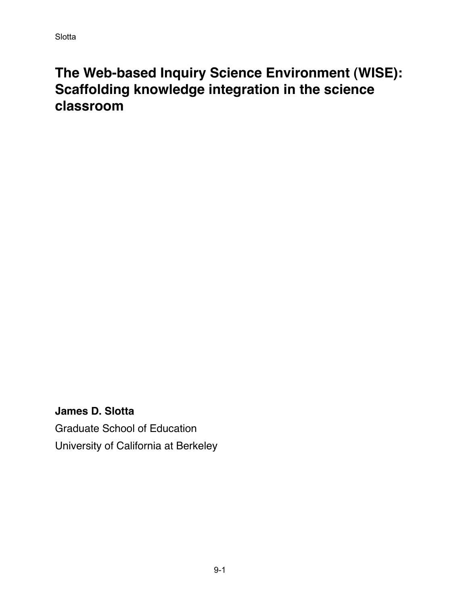# **The Web-based Inquiry Science Environment (WISE): Scaffolding knowledge integration in the science classroom**

**James D. Slotta** Graduate School of Education University of California at Berkeley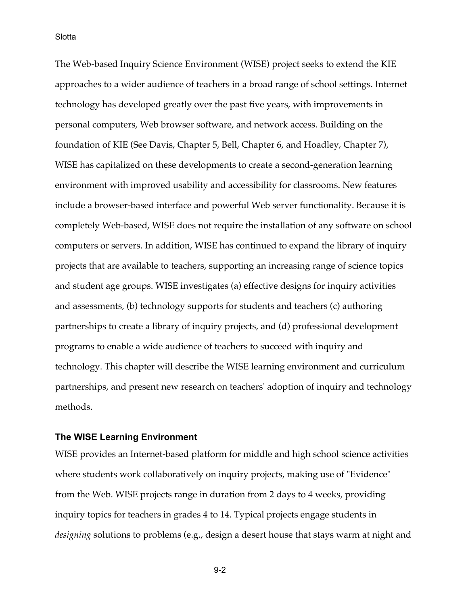The Web-based Inquiry Science Environment (WISE) project seeks to extend the KIE approaches to a wider audience of teachers in a broad range of school settings. Internet technology has developed greatly over the past five years, with improvements in personal computers, Web browser software, and network access. Building on the foundation of KIE (See Davis, Chapter 5, Bell, Chapter 6, and Hoadley, Chapter 7), WISE has capitalized on these developments to create a second-generation learning environment with improved usability and accessibility for classrooms. New features include a browser-based interface and powerful Web server functionality. Because it is completely Web-based, WISE does not require the installation of any software on school computers or servers. In addition, WISE has continued to expand the library of inquiry projects that are available to teachers, supporting an increasing range of science topics and student age groups. WISE investigates (a) effective designs for inquiry activities and assessments, (b) technology supports for students and teachers (c) authoring partnerships to create a library of inquiry projects, and (d) professional development programs to enable a wide audience of teachers to succeed with inquiry and technology. This chapter will describe the WISE learning environment and curriculum partnerships, and present new research on teachers' adoption of inquiry and technology methods.

# **The WISE Learning Environment**

WISE provides an Internet-based platform for middle and high school science activities where students work collaboratively on inquiry projects, making use of "Evidence" from the Web. WISE projects range in duration from 2 days to 4 weeks, providing inquiry topics for teachers in grades 4 to 14. Typical projects engage students in *designing* solutions to problems (e.g., design a desert house that stays warm at night and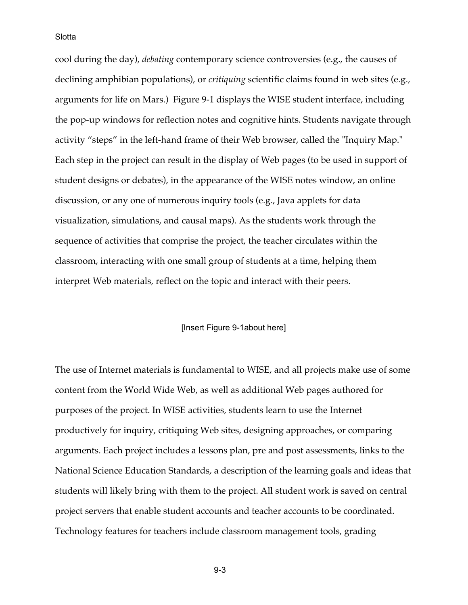cool during the day), *debating* contemporary science controversies (e.g., the causes of declining amphibian populations), or *critiquing* scientific claims found in web sites (e.g., arguments for life on Mars.) Figure 9-1 displays the WISE student interface, including the pop-up windows for reflection notes and cognitive hints. Students navigate through activity "steps" in the left-hand frame of their Web browser, called the "Inquiry Map." Each step in the project can result in the display of Web pages (to be used in support of student designs or debates), in the appearance of the WISE notes window, an online discussion, or any one of numerous inquiry tools (e.g., Java applets for data visualization, simulations, and causal maps). As the students work through the sequence of activities that comprise the project, the teacher circulates within the classroom, interacting with one small group of students at a time, helping them interpret Web materials, reflect on the topic and interact with their peers.

#### [Insert Figure 9-1about here]

The use of Internet materials is fundamental to WISE, and all projects make use of some content from the World Wide Web, as well as additional Web pages authored for purposes of the project. In WISE activities, students learn to use the Internet productively for inquiry, critiquing Web sites, designing approaches, or comparing arguments. Each project includes a lessons plan, pre and post assessments, links to the National Science Education Standards, a description of the learning goals and ideas that students will likely bring with them to the project. All student work is saved on central project servers that enable student accounts and teacher accounts to be coordinated. Technology features for teachers include classroom management tools, grading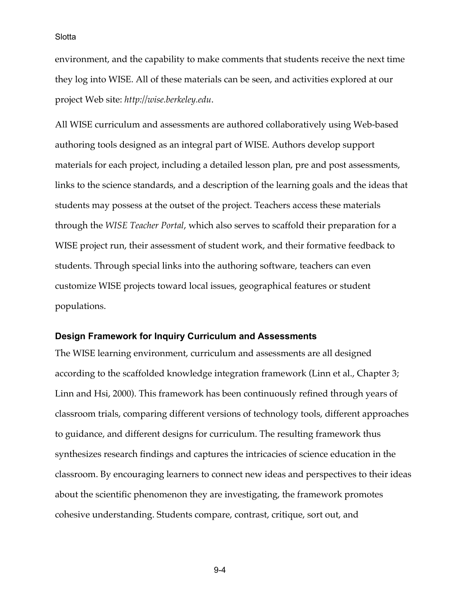environment, and the capability to make comments that students receive the next time they log into WISE. All of these materials can be seen, and activities explored at our project Web site: *http://wise.berkeley.edu*.

All WISE curriculum and assessments are authored collaboratively using Web-based authoring tools designed as an integral part of WISE. Authors develop support materials for each project, including a detailed lesson plan, pre and post assessments, links to the science standards, and a description of the learning goals and the ideas that students may possess at the outset of the project. Teachers access these materials through the *WISE Teacher Portal*, which also serves to scaffold their preparation for a WISE project run, their assessment of student work, and their formative feedback to students. Through special links into the authoring software, teachers can even customize WISE projects toward local issues, geographical features or student populations.

## **Design Framework for Inquiry Curriculum and Assessments**

The WISE learning environment, curriculum and assessments are all designed according to the scaffolded knowledge integration framework (Linn et al., Chapter 3; Linn and Hsi, 2000). This framework has been continuously refined through years of classroom trials, comparing different versions of technology tools, different approaches to guidance, and different designs for curriculum. The resulting framework thus synthesizes research findings and captures the intricacies of science education in the classroom. By encouraging learners to connect new ideas and perspectives to their ideas about the scientific phenomenon they are investigating, the framework promotes cohesive understanding. Students compare, contrast, critique, sort out, and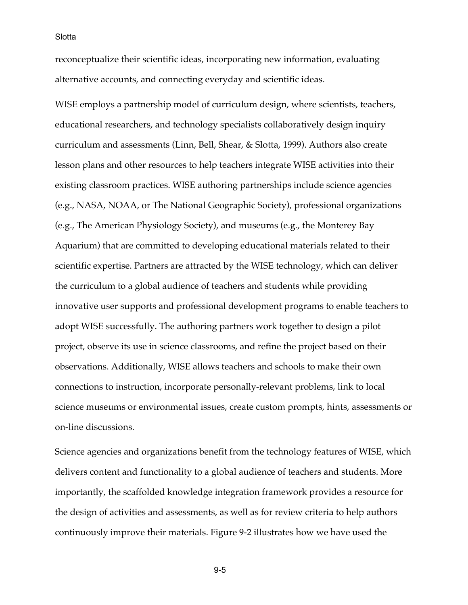reconceptualize their scientific ideas, incorporating new information, evaluating alternative accounts, and connecting everyday and scientific ideas.

WISE employs a partnership model of curriculum design, where scientists, teachers, educational researchers, and technology specialists collaboratively design inquiry curriculum and assessments (Linn, Bell, Shear, & Slotta, 1999). Authors also create lesson plans and other resources to help teachers integrate WISE activities into their existing classroom practices. WISE authoring partnerships include science agencies (e.g., NASA, NOAA, or The National Geographic Society), professional organizations (e.g., The American Physiology Society), and museums (e.g., the Monterey Bay Aquarium) that are committed to developing educational materials related to their scientific expertise. Partners are attracted by the WISE technology, which can deliver the curriculum to a global audience of teachers and students while providing innovative user supports and professional development programs to enable teachers to adopt WISE successfully. The authoring partners work together to design a pilot project, observe its use in science classrooms, and refine the project based on their observations. Additionally, WISE allows teachers and schools to make their own connections to instruction, incorporate personally-relevant problems, link to local science museums or environmental issues, create custom prompts, hints, assessments or on-line discussions.

Science agencies and organizations benefit from the technology features of WISE, which delivers content and functionality to a global audience of teachers and students. More importantly, the scaffolded knowledge integration framework provides a resource for the design of activities and assessments, as well as for review criteria to help authors continuously improve their materials. Figure 9-2 illustrates how we have used the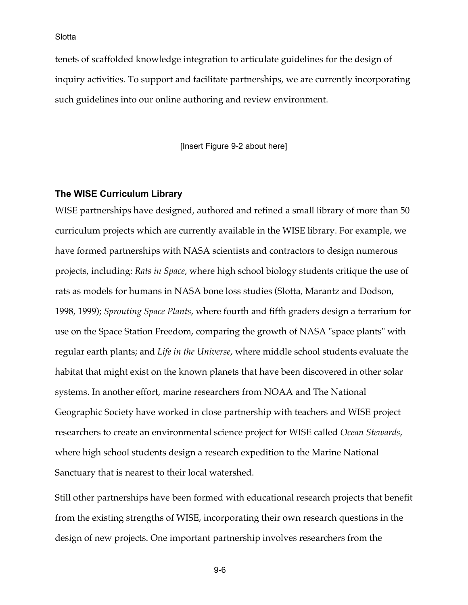tenets of scaffolded knowledge integration to articulate guidelines for the design of inquiry activities. To support and facilitate partnerships, we are currently incorporating such guidelines into our online authoring and review environment.

[Insert Figure 9-2 about here]

# **The WISE Curriculum Library**

WISE partnerships have designed, authored and refined a small library of more than 50 curriculum projects which are currently available in the WISE library. For example, we have formed partnerships with NASA scientists and contractors to design numerous projects, including: *Rats in Space*, where high school biology students critique the use of rats as models for humans in NASA bone loss studies (Slotta, Marantz and Dodson, 1998, 1999); *Sprouting Space Plants*, where fourth and fifth graders design a terrarium for use on the Space Station Freedom, comparing the growth of NASA "space plants" with regular earth plants; and *Life in the Universe*, where middle school students evaluate the habitat that might exist on the known planets that have been discovered in other solar systems. In another effort, marine researchers from NOAA and The National Geographic Society have worked in close partnership with teachers and WISE project researchers to create an environmental science project for WISE called *Ocean Stewards*, where high school students design a research expedition to the Marine National Sanctuary that is nearest to their local watershed.

Still other partnerships have been formed with educational research projects that benefit from the existing strengths of WISE, incorporating their own research questions in the design of new projects. One important partnership involves researchers from the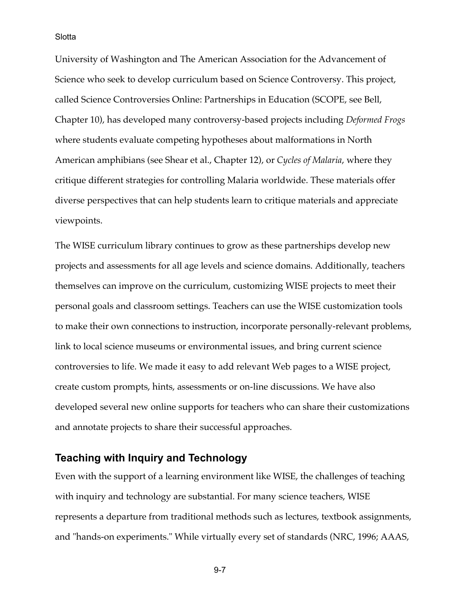University of Washington and The American Association for the Advancement of Science who seek to develop curriculum based on Science Controversy. This project, called Science Controversies Online: Partnerships in Education (SCOPE, see Bell, Chapter 10), has developed many controversy-based projects including *Deformed Frogs* where students evaluate competing hypotheses about malformations in North American amphibians (see Shear et al., Chapter 12), or *Cycles of Malaria*, where they critique different strategies for controlling Malaria worldwide. These materials offer diverse perspectives that can help students learn to critique materials and appreciate viewpoints.

The WISE curriculum library continues to grow as these partnerships develop new projects and assessments for all age levels and science domains. Additionally, teachers themselves can improve on the curriculum, customizing WISE projects to meet their personal goals and classroom settings. Teachers can use the WISE customization tools to make their own connections to instruction, incorporate personally-relevant problems, link to local science museums or environmental issues, and bring current science controversies to life. We made it easy to add relevant Web pages to a WISE project, create custom prompts, hints, assessments or on-line discussions. We have also developed several new online supports for teachers who can share their customizations and annotate projects to share their successful approaches.

# **Teaching with Inquiry and Technology**

Even with the support of a learning environment like WISE, the challenges of teaching with inquiry and technology are substantial. For many science teachers, WISE represents a departure from traditional methods such as lectures, textbook assignments, and "hands-on experiments." While virtually every set of standards (NRC, 1996; AAAS,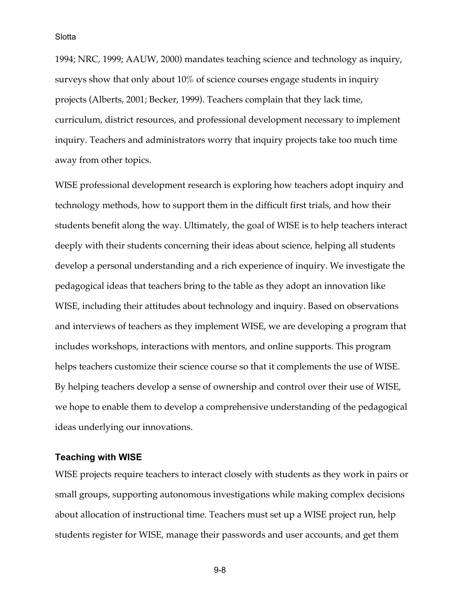1994; NRC, 1999; AAUW, 2000) mandates teaching science and technology as inquiry, surveys show that only about 10% of science courses engage students in inquiry projects (Alberts, 2001; Becker, 1999). Teachers complain that they lack time, curriculum, district resources, and professional development necessary to implement inquiry. Teachers and administrators worry that inquiry projects take too much time away from other topics.

WISE professional development research is exploring how teachers adopt inquiry and technology methods, how to support them in the difficult first trials, and how their students benefit along the way. Ultimately, the goal of WISE is to help teachers interact deeply with their students concerning their ideas about science, helping all students develop a personal understanding and a rich experience of inquiry. We investigate the pedagogical ideas that teachers bring to the table as they adopt an innovation like WISE, including their attitudes about technology and inquiry. Based on observations and interviews of teachers as they implement WISE, we are developing a program that includes workshops, interactions with mentors, and online supports. This program helps teachers customize their science course so that it complements the use of WISE. By helping teachers develop a sense of ownership and control over their use of WISE, we hope to enable them to develop a comprehensive understanding of the pedagogical ideas underlying our innovations.

# **Teaching with WISE**

WISE projects require teachers to interact closely with students as they work in pairs or small groups, supporting autonomous investigations while making complex decisions about allocation of instructional time. Teachers must set up a WISE project run, help students register for WISE, manage their passwords and user accounts, and get them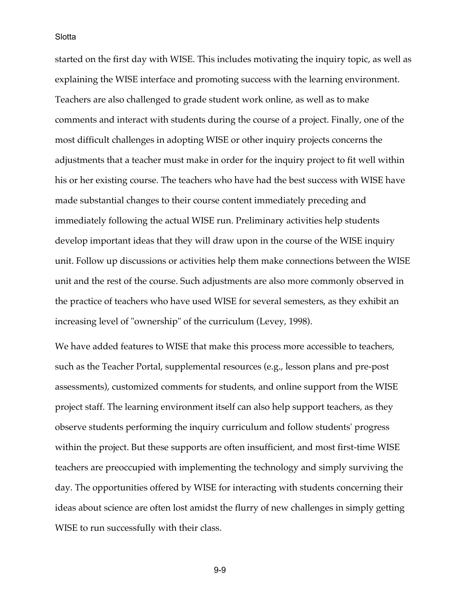started on the first day with WISE. This includes motivating the inquiry topic, as well as explaining the WISE interface and promoting success with the learning environment. Teachers are also challenged to grade student work online, as well as to make comments and interact with students during the course of a project. Finally, one of the most difficult challenges in adopting WISE or other inquiry projects concerns the adjustments that a teacher must make in order for the inquiry project to fit well within his or her existing course. The teachers who have had the best success with WISE have made substantial changes to their course content immediately preceding and immediately following the actual WISE run. Preliminary activities help students develop important ideas that they will draw upon in the course of the WISE inquiry unit. Follow up discussions or activities help them make connections between the WISE unit and the rest of the course. Such adjustments are also more commonly observed in the practice of teachers who have used WISE for several semesters, as they exhibit an increasing level of "ownership" of the curriculum (Levey, 1998).

We have added features to WISE that make this process more accessible to teachers, such as the Teacher Portal, supplemental resources (e.g., lesson plans and pre-post assessments), customized comments for students, and online support from the WISE project staff. The learning environment itself can also help support teachers, as they observe students performing the inquiry curriculum and follow students' progress within the project. But these supports are often insufficient, and most first-time WISE teachers are preoccupied with implementing the technology and simply surviving the day. The opportunities offered by WISE for interacting with students concerning their ideas about science are often lost amidst the flurry of new challenges in simply getting WISE to run successfully with their class.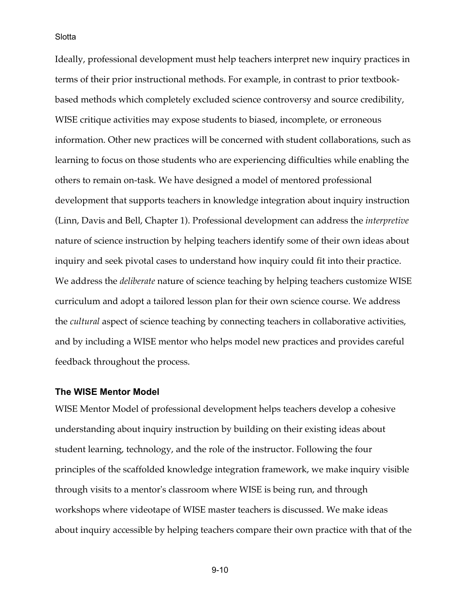Ideally, professional development must help teachers interpret new inquiry practices in terms of their prior instructional methods. For example, in contrast to prior textbookbased methods which completely excluded science controversy and source credibility, WISE critique activities may expose students to biased, incomplete, or erroneous information. Other new practices will be concerned with student collaborations, such as learning to focus on those students who are experiencing difficulties while enabling the others to remain on-task. We have designed a model of mentored professional development that supports teachers in knowledge integration about inquiry instruction (Linn, Davis and Bell, Chapter 1). Professional development can address the *interpretive* nature of science instruction by helping teachers identify some of their own ideas about inquiry and seek pivotal cases to understand how inquiry could fit into their practice. We address the *deliberate* nature of science teaching by helping teachers customize WISE curriculum and adopt a tailored lesson plan for their own science course. We address the *cultural* aspect of science teaching by connecting teachers in collaborative activities, and by including a WISE mentor who helps model new practices and provides careful feedback throughout the process.

## **The WISE Mentor Model**

WISE Mentor Model of professional development helps teachers develop a cohesive understanding about inquiry instruction by building on their existing ideas about student learning, technology, and the role of the instructor. Following the four principles of the scaffolded knowledge integration framework, we make inquiry visible through visits to a mentor's classroom where WISE is being run, and through workshops where videotape of WISE master teachers is discussed. We make ideas about inquiry accessible by helping teachers compare their own practice with that of the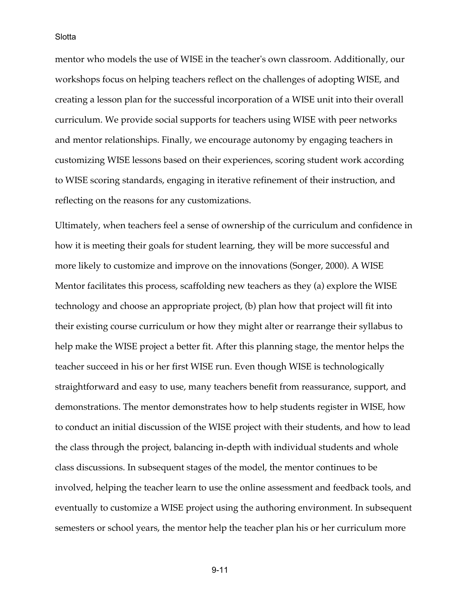mentor who models the use of WISE in the teacher's own classroom. Additionally, our workshops focus on helping teachers reflect on the challenges of adopting WISE, and creating a lesson plan for the successful incorporation of a WISE unit into their overall curriculum. We provide social supports for teachers using WISE with peer networks and mentor relationships. Finally, we encourage autonomy by engaging teachers in customizing WISE lessons based on their experiences, scoring student work according to WISE scoring standards, engaging in iterative refinement of their instruction, and reflecting on the reasons for any customizations.

Ultimately, when teachers feel a sense of ownership of the curriculum and confidence in how it is meeting their goals for student learning, they will be more successful and more likely to customize and improve on the innovations (Songer, 2000). A WISE Mentor facilitates this process, scaffolding new teachers as they (a) explore the WISE technology and choose an appropriate project, (b) plan how that project will fit into their existing course curriculum or how they might alter or rearrange their syllabus to help make the WISE project a better fit. After this planning stage, the mentor helps the teacher succeed in his or her first WISE run. Even though WISE is technologically straightforward and easy to use, many teachers benefit from reassurance, support, and demonstrations. The mentor demonstrates how to help students register in WISE, how to conduct an initial discussion of the WISE project with their students, and how to lead the class through the project, balancing in-depth with individual students and whole class discussions. In subsequent stages of the model, the mentor continues to be involved, helping the teacher learn to use the online assessment and feedback tools, and eventually to customize a WISE project using the authoring environment. In subsequent semesters or school years, the mentor help the teacher plan his or her curriculum more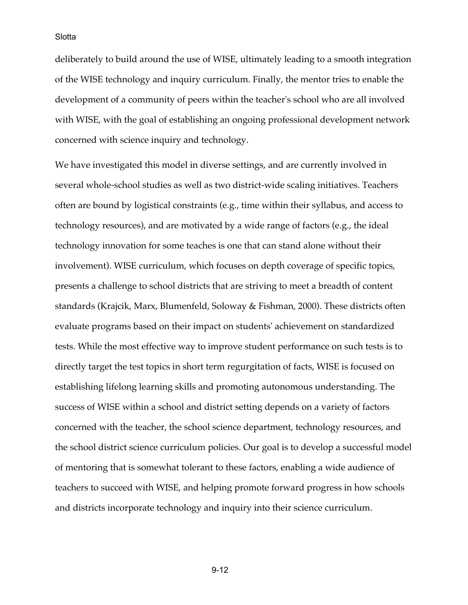deliberately to build around the use of WISE, ultimately leading to a smooth integration of the WISE technology and inquiry curriculum. Finally, the mentor tries to enable the development of a community of peers within the teacher's school who are all involved with WISE, with the goal of establishing an ongoing professional development network concerned with science inquiry and technology.

We have investigated this model in diverse settings, and are currently involved in several whole-school studies as well as two district-wide scaling initiatives. Teachers often are bound by logistical constraints (e.g., time within their syllabus, and access to technology resources), and are motivated by a wide range of factors (e.g., the ideal technology innovation for some teaches is one that can stand alone without their involvement). WISE curriculum, which focuses on depth coverage of specific topics, presents a challenge to school districts that are striving to meet a breadth of content standards (Krajcik, Marx, Blumenfeld, Soloway & Fishman, 2000). These districts often evaluate programs based on their impact on students' achievement on standardized tests. While the most effective way to improve student performance on such tests is to directly target the test topics in short term regurgitation of facts, WISE is focused on establishing lifelong learning skills and promoting autonomous understanding. The success of WISE within a school and district setting depends on a variety of factors concerned with the teacher, the school science department, technology resources, and the school district science curriculum policies. Our goal is to develop a successful model of mentoring that is somewhat tolerant to these factors, enabling a wide audience of teachers to succeed with WISE, and helping promote forward progress in how schools and districts incorporate technology and inquiry into their science curriculum.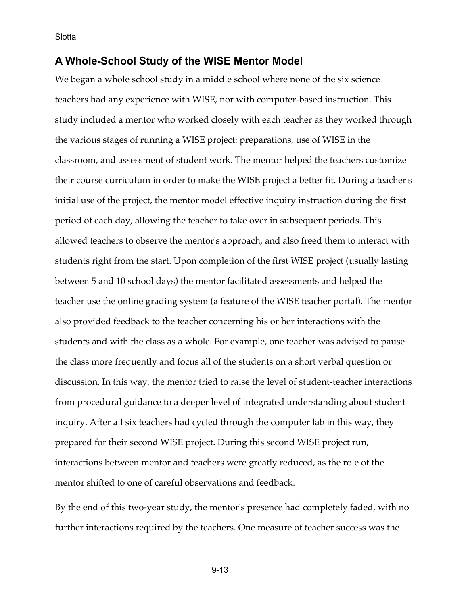# **A Whole-School Study of the WISE Mentor Model**

We began a whole school study in a middle school where none of the six science teachers had any experience with WISE, nor with computer-based instruction. This study included a mentor who worked closely with each teacher as they worked through the various stages of running a WISE project: preparations, use of WISE in the classroom, and assessment of student work. The mentor helped the teachers customize their course curriculum in order to make the WISE project a better fit. During a teacher's initial use of the project, the mentor model effective inquiry instruction during the first period of each day, allowing the teacher to take over in subsequent periods. This allowed teachers to observe the mentor's approach, and also freed them to interact with students right from the start. Upon completion of the first WISE project (usually lasting between 5 and 10 school days) the mentor facilitated assessments and helped the teacher use the online grading system (a feature of the WISE teacher portal). The mentor also provided feedback to the teacher concerning his or her interactions with the students and with the class as a whole. For example, one teacher was advised to pause the class more frequently and focus all of the students on a short verbal question or discussion. In this way, the mentor tried to raise the level of student-teacher interactions from procedural guidance to a deeper level of integrated understanding about student inquiry. After all six teachers had cycled through the computer lab in this way, they prepared for their second WISE project. During this second WISE project run, interactions between mentor and teachers were greatly reduced, as the role of the mentor shifted to one of careful observations and feedback.

By the end of this two-year study, the mentor's presence had completely faded, with no further interactions required by the teachers. One measure of teacher success was the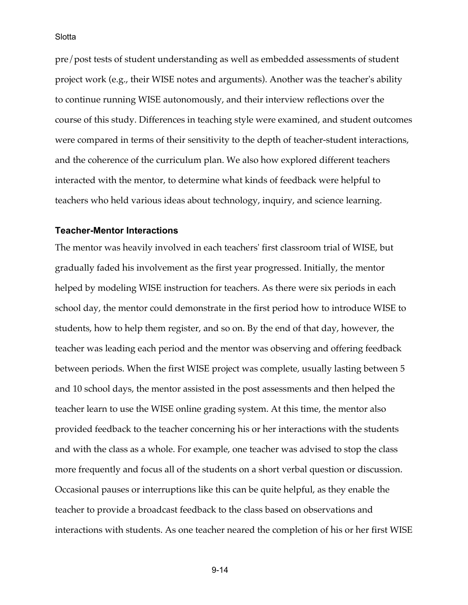pre/post tests of student understanding as well as embedded assessments of student project work (e.g., their WISE notes and arguments). Another was the teacher's ability to continue running WISE autonomously, and their interview reflections over the course of this study. Differences in teaching style were examined, and student outcomes were compared in terms of their sensitivity to the depth of teacher-student interactions, and the coherence of the curriculum plan. We also how explored different teachers interacted with the mentor, to determine what kinds of feedback were helpful to teachers who held various ideas about technology, inquiry, and science learning.

#### **Teacher-Mentor Interactions**

The mentor was heavily involved in each teachers' first classroom trial of WISE, but gradually faded his involvement as the first year progressed. Initially, the mentor helped by modeling WISE instruction for teachers. As there were six periods in each school day, the mentor could demonstrate in the first period how to introduce WISE to students, how to help them register, and so on. By the end of that day, however, the teacher was leading each period and the mentor was observing and offering feedback between periods. When the first WISE project was complete, usually lasting between 5 and 10 school days, the mentor assisted in the post assessments and then helped the teacher learn to use the WISE online grading system. At this time, the mentor also provided feedback to the teacher concerning his or her interactions with the students and with the class as a whole. For example, one teacher was advised to stop the class more frequently and focus all of the students on a short verbal question or discussion. Occasional pauses or interruptions like this can be quite helpful, as they enable the teacher to provide a broadcast feedback to the class based on observations and interactions with students. As one teacher neared the completion of his or her first WISE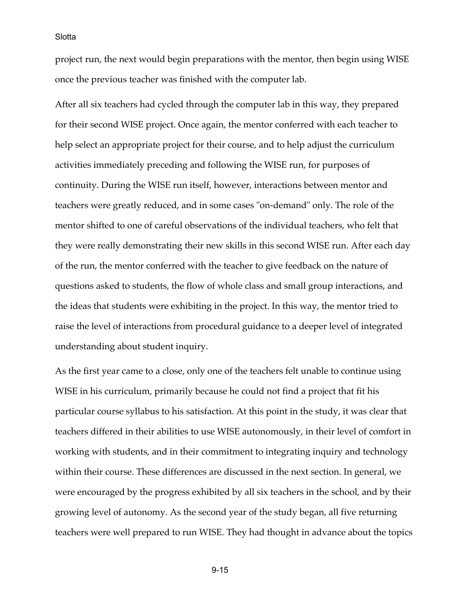project run, the next would begin preparations with the mentor, then begin using WISE once the previous teacher was finished with the computer lab.

After all six teachers had cycled through the computer lab in this way, they prepared for their second WISE project. Once again, the mentor conferred with each teacher to help select an appropriate project for their course, and to help adjust the curriculum activities immediately preceding and following the WISE run, for purposes of continuity. During the WISE run itself, however, interactions between mentor and teachers were greatly reduced, and in some cases "on-demand" only. The role of the mentor shifted to one of careful observations of the individual teachers, who felt that they were really demonstrating their new skills in this second WISE run. After each day of the run, the mentor conferred with the teacher to give feedback on the nature of questions asked to students, the flow of whole class and small group interactions, and the ideas that students were exhibiting in the project. In this way, the mentor tried to raise the level of interactions from procedural guidance to a deeper level of integrated understanding about student inquiry.

As the first year came to a close, only one of the teachers felt unable to continue using WISE in his curriculum, primarily because he could not find a project that fit his particular course syllabus to his satisfaction. At this point in the study, it was clear that teachers differed in their abilities to use WISE autonomously, in their level of comfort in working with students, and in their commitment to integrating inquiry and technology within their course. These differences are discussed in the next section. In general, we were encouraged by the progress exhibited by all six teachers in the school, and by their growing level of autonomy. As the second year of the study began, all five returning teachers were well prepared to run WISE. They had thought in advance about the topics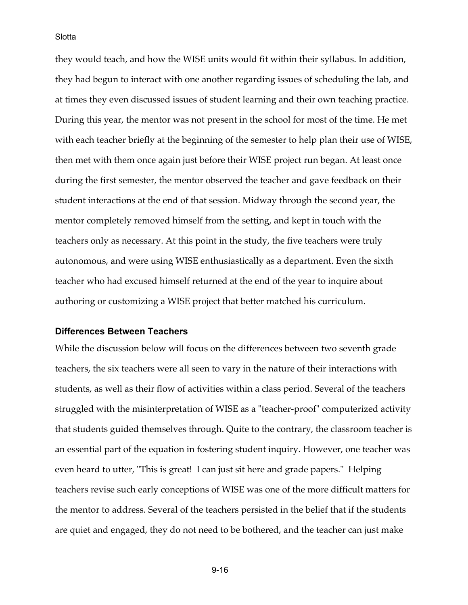they would teach, and how the WISE units would fit within their syllabus. In addition, they had begun to interact with one another regarding issues of scheduling the lab, and at times they even discussed issues of student learning and their own teaching practice. During this year, the mentor was not present in the school for most of the time. He met with each teacher briefly at the beginning of the semester to help plan their use of WISE, then met with them once again just before their WISE project run began. At least once during the first semester, the mentor observed the teacher and gave feedback on their student interactions at the end of that session. Midway through the second year, the mentor completely removed himself from the setting, and kept in touch with the teachers only as necessary. At this point in the study, the five teachers were truly autonomous, and were using WISE enthusiastically as a department. Even the sixth teacher who had excused himself returned at the end of the year to inquire about authoring or customizing a WISE project that better matched his curriculum.

### **Differences Between Teachers**

While the discussion below will focus on the differences between two seventh grade teachers, the six teachers were all seen to vary in the nature of their interactions with students, as well as their flow of activities within a class period. Several of the teachers struggled with the misinterpretation of WISE as a "teacher-proof" computerized activity that students guided themselves through. Quite to the contrary, the classroom teacher is an essential part of the equation in fostering student inquiry. However, one teacher was even heard to utter, "This is great! I can just sit here and grade papers." Helping teachers revise such early conceptions of WISE was one of the more difficult matters for the mentor to address. Several of the teachers persisted in the belief that if the students are quiet and engaged, they do not need to be bothered, and the teacher can just make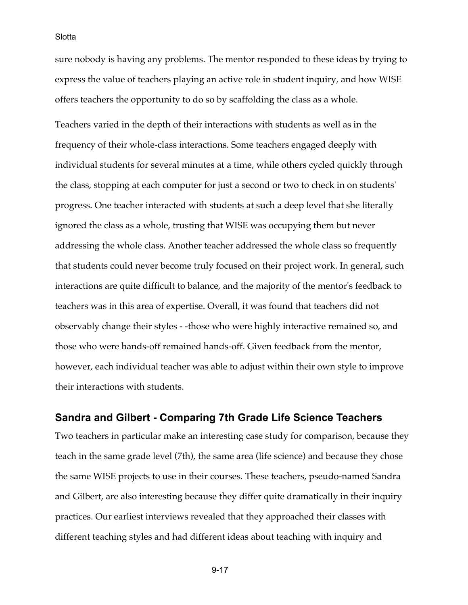sure nobody is having any problems. The mentor responded to these ideas by trying to express the value of teachers playing an active role in student inquiry, and how WISE offers teachers the opportunity to do so by scaffolding the class as a whole.

Teachers varied in the depth of their interactions with students as well as in the frequency of their whole-class interactions. Some teachers engaged deeply with individual students for several minutes at a time, while others cycled quickly through the class, stopping at each computer for just a second or two to check in on students' progress. One teacher interacted with students at such a deep level that she literally ignored the class as a whole, trusting that WISE was occupying them but never addressing the whole class. Another teacher addressed the whole class so frequently that students could never become truly focused on their project work. In general, such interactions are quite difficult to balance, and the majority of the mentor's feedback to teachers was in this area of expertise. Overall, it was found that teachers did not observably change their styles - -those who were highly interactive remained so, and those who were hands-off remained hands-off. Given feedback from the mentor, however, each individual teacher was able to adjust within their own style to improve their interactions with students.

# **Sandra and Gilbert - Comparing 7th Grade Life Science Teachers**

Two teachers in particular make an interesting case study for comparison, because they teach in the same grade level (7th), the same area (life science) and because they chose the same WISE projects to use in their courses. These teachers, pseudo-named Sandra and Gilbert, are also interesting because they differ quite dramatically in their inquiry practices. Our earliest interviews revealed that they approached their classes with different teaching styles and had different ideas about teaching with inquiry and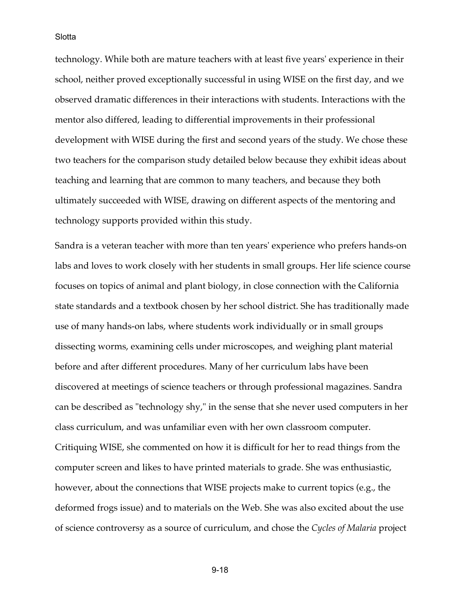technology. While both are mature teachers with at least five years' experience in their school, neither proved exceptionally successful in using WISE on the first day, and we observed dramatic differences in their interactions with students. Interactions with the mentor also differed, leading to differential improvements in their professional development with WISE during the first and second years of the study. We chose these two teachers for the comparison study detailed below because they exhibit ideas about teaching and learning that are common to many teachers, and because they both ultimately succeeded with WISE, drawing on different aspects of the mentoring and technology supports provided within this study.

Sandra is a veteran teacher with more than ten years' experience who prefers hands-on labs and loves to work closely with her students in small groups. Her life science course focuses on topics of animal and plant biology, in close connection with the California state standards and a textbook chosen by her school district. She has traditionally made use of many hands-on labs, where students work individually or in small groups dissecting worms, examining cells under microscopes, and weighing plant material before and after different procedures. Many of her curriculum labs have been discovered at meetings of science teachers or through professional magazines. Sandra can be described as "technology shy," in the sense that she never used computers in her class curriculum, and was unfamiliar even with her own classroom computer. Critiquing WISE, she commented on how it is difficult for her to read things from the computer screen and likes to have printed materials to grade. She was enthusiastic, however, about the connections that WISE projects make to current topics (e.g., the deformed frogs issue) and to materials on the Web. She was also excited about the use of science controversy as a source of curriculum, and chose the *Cycles of Malaria* project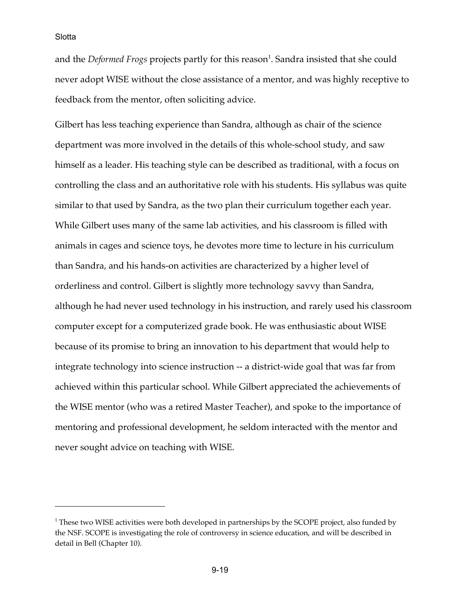$\overline{a}$ 

and the *Deformed Frogs* projects partly for this reason<sup>1</sup>. Sandra insisted that she could never adopt WISE without the close assistance of a mentor, and was highly receptive to feedback from the mentor, often soliciting advice.

Gilbert has less teaching experience than Sandra, although as chair of the science department was more involved in the details of this whole-school study, and saw himself as a leader. His teaching style can be described as traditional, with a focus on controlling the class and an authoritative role with his students. His syllabus was quite similar to that used by Sandra, as the two plan their curriculum together each year. While Gilbert uses many of the same lab activities, and his classroom is filled with animals in cages and science toys, he devotes more time to lecture in his curriculum than Sandra, and his hands-on activities are characterized by a higher level of orderliness and control. Gilbert is slightly more technology savvy than Sandra, although he had never used technology in his instruction, and rarely used his classroom computer except for a computerized grade book. He was enthusiastic about WISE because of its promise to bring an innovation to his department that would help to integrate technology into science instruction -- a district-wide goal that was far from achieved within this particular school. While Gilbert appreciated the achievements of the WISE mentor (who was a retired Master Teacher), and spoke to the importance of mentoring and professional development, he seldom interacted with the mentor and never sought advice on teaching with WISE.

 $^1$  These two WISE activities were both developed in partnerships by the SCOPE project, also funded by the NSF. SCOPE is investigating the role of controversy in science education, and will be described in detail in Bell (Chapter 10).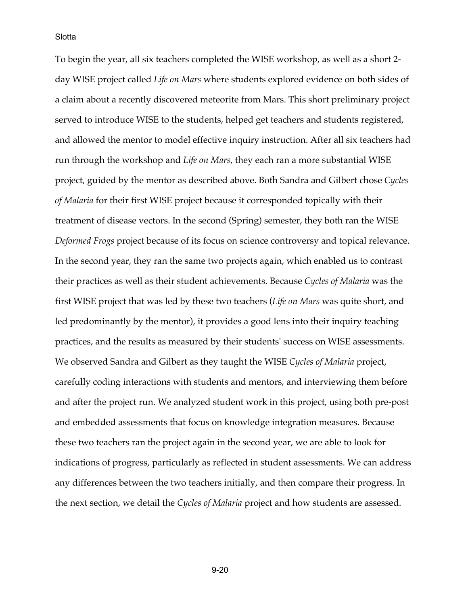To begin the year, all six teachers completed the WISE workshop, as well as a short 2 day WISE project called *Life on Mars* where students explored evidence on both sides of a claim about a recently discovered meteorite from Mars. This short preliminary project served to introduce WISE to the students, helped get teachers and students registered, and allowed the mentor to model effective inquiry instruction. After all six teachers had run through the workshop and *Life on Mars*, they each ran a more substantial WISE project, guided by the mentor as described above. Both Sandra and Gilbert chose *Cycles of Malaria* for their first WISE project because it corresponded topically with their treatment of disease vectors. In the second (Spring) semester, they both ran the WISE *Deformed Frogs* project because of its focus on science controversy and topical relevance. In the second year, they ran the same two projects again, which enabled us to contrast their practices as well as their student achievements. Because *Cycles of Malaria* was the first WISE project that was led by these two teachers (*Life on Mars* was quite short, and led predominantly by the mentor), it provides a good lens into their inquiry teaching practices, and the results as measured by their students' success on WISE assessments. We observed Sandra and Gilbert as they taught the WISE *Cycles of Malaria* project, carefully coding interactions with students and mentors, and interviewing them before and after the project run. We analyzed student work in this project, using both pre-post and embedded assessments that focus on knowledge integration measures. Because these two teachers ran the project again in the second year, we are able to look for indications of progress, particularly as reflected in student assessments. We can address any differences between the two teachers initially, and then compare their progress. In the next section, we detail the *Cycles of Malaria* project and how students are assessed.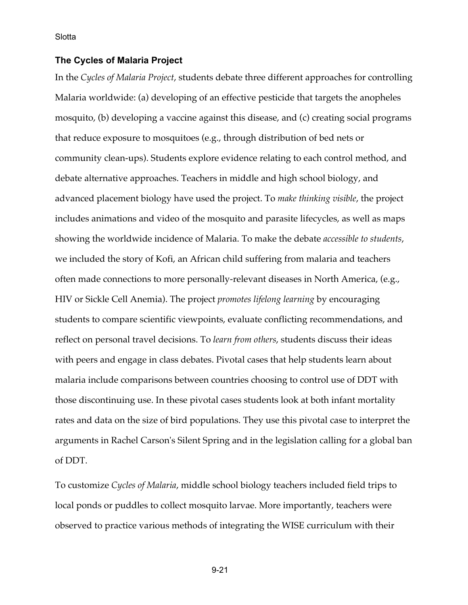#### **The Cycles of Malaria Project**

In the *Cycles of Malaria Project*, students debate three different approaches for controlling Malaria worldwide: (a) developing of an effective pesticide that targets the anopheles mosquito, (b) developing a vaccine against this disease, and (c) creating social programs that reduce exposure to mosquitoes (e.g., through distribution of bed nets or community clean-ups). Students explore evidence relating to each control method, and debate alternative approaches. Teachers in middle and high school biology, and advanced placement biology have used the project. To *make thinking visible*, the project includes animations and video of the mosquito and parasite lifecycles, as well as maps showing the worldwide incidence of Malaria. To make the debate *accessible to students*, we included the story of Kofi, an African child suffering from malaria and teachers often made connections to more personally-relevant diseases in North America, (e.g., HIV or Sickle Cell Anemia). The project *promotes lifelong learning* by encouraging students to compare scientific viewpoints, evaluate conflicting recommendations, and reflect on personal travel decisions. To *learn from others*, students discuss their ideas with peers and engage in class debates. Pivotal cases that help students learn about malaria include comparisons between countries choosing to control use of DDT with those discontinuing use. In these pivotal cases students look at both infant mortality rates and data on the size of bird populations. They use this pivotal case to interpret the arguments in Rachel Carson's Silent Spring and in the legislation calling for a global ban of DDT.

To customize *Cycles of Malaria*, middle school biology teachers included field trips to local ponds or puddles to collect mosquito larvae. More importantly, teachers were observed to practice various methods of integrating the WISE curriculum with their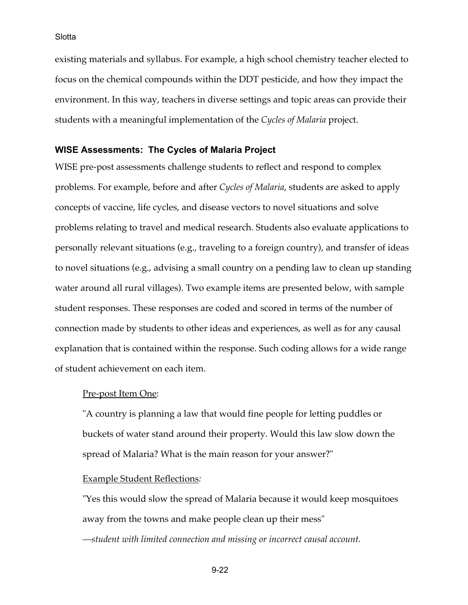existing materials and syllabus. For example, a high school chemistry teacher elected to focus on the chemical compounds within the DDT pesticide, and how they impact the environment. In this way, teachers in diverse settings and topic areas can provide their students with a meaningful implementation of the *Cycles of Malaria* project.

#### **WISE Assessments: The Cycles of Malaria Project**

WISE pre-post assessments challenge students to reflect and respond to complex problems. For example, before and after *Cycles of Malaria*, students are asked to apply concepts of vaccine, life cycles, and disease vectors to novel situations and solve problems relating to travel and medical research. Students also evaluate applications to personally relevant situations (e.g., traveling to a foreign country), and transfer of ideas to novel situations (e.g., advising a small country on a pending law to clean up standing water around all rural villages). Two example items are presented below, with sample student responses. These responses are coded and scored in terms of the number of connection made by students to other ideas and experiences, as well as for any causal explanation that is contained within the response. Such coding allows for a wide range of student achievement on each item.

#### Pre-post Item One:

"A country is planning a law that would fine people for letting puddles or buckets of water stand around their property. Would this law slow down the spread of Malaria? What is the main reason for your answer?"

#### Example Student Reflections*:*

"Yes this would slow the spread of Malaria because it would keep mosquitoes away from the towns and make people clean up their mess"

*––student with limited connection and missing or incorrect causal account.*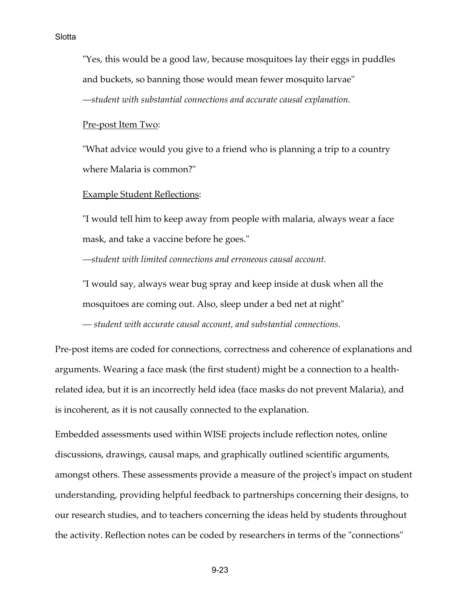"Yes, this would be a good law, because mosquitoes lay their eggs in puddles and buckets, so banning those would mean fewer mosquito larvae" *––student with substantial connections and accurate causal explanation.*

Pre-post Item Two:

"What advice would you give to a friend who is planning a trip to a country where Malaria is common?"

#### Example Student Reflections:

"I would tell him to keep away from people with malaria, always wear a face mask, and take a vaccine before he goes."

*––student with limited connections and erroneous causal account.*

"I would say, always wear bug spray and keep inside at dusk when all the mosquitoes are coming out. Also, sleep under a bed net at night"

*–– student with accurate causal account, and substantial connections.*

Pre-post items are coded for connections, correctness and coherence of explanations and arguments. Wearing a face mask (the first student) might be a connection to a healthrelated idea, but it is an incorrectly held idea (face masks do not prevent Malaria), and is incoherent, as it is not causally connected to the explanation.

Embedded assessments used within WISE projects include reflection notes, online discussions, drawings, causal maps, and graphically outlined scientific arguments, amongst others. These assessments provide a measure of the project's impact on student understanding, providing helpful feedback to partnerships concerning their designs, to our research studies, and to teachers concerning the ideas held by students throughout the activity. Reflection notes can be coded by researchers in terms of the "connections"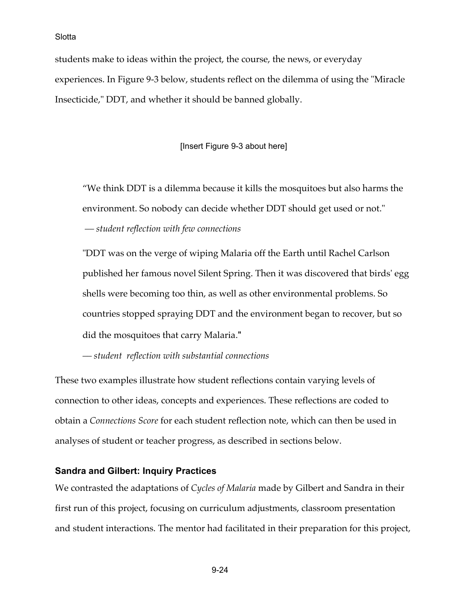students make to ideas within the project, the course, the news, or everyday experiences. In Figure 9-3 below, students reflect on the dilemma of using the "Miracle Insecticide," DDT, and whether it should be banned globally.

[Insert Figure 9-3 about here]

"We think DDT is a dilemma because it kills the mosquitoes but also harms the environment. So nobody can decide whether DDT should get used or not." *–– student reflection with few connections*

"DDT was on the verge of wiping Malaria off the Earth until Rachel Carlson published her famous novel Silent Spring. Then it was discovered that birds' egg shells were becoming too thin, as well as other environmental problems. So countries stopped spraying DDT and the environment began to recover, but so did the mosquitoes that carry Malaria."

*–– student reflection with substantial connections*

These two examples illustrate how student reflections contain varying levels of connection to other ideas, concepts and experiences. These reflections are coded to obtain a *Connections Score* for each student reflection note, which can then be used in analyses of student or teacher progress, as described in sections below.

# **Sandra and Gilbert: Inquiry Practices**

We contrasted the adaptations of *Cycles of Malaria* made by Gilbert and Sandra in their first run of this project, focusing on curriculum adjustments, classroom presentation and student interactions. The mentor had facilitated in their preparation for this project,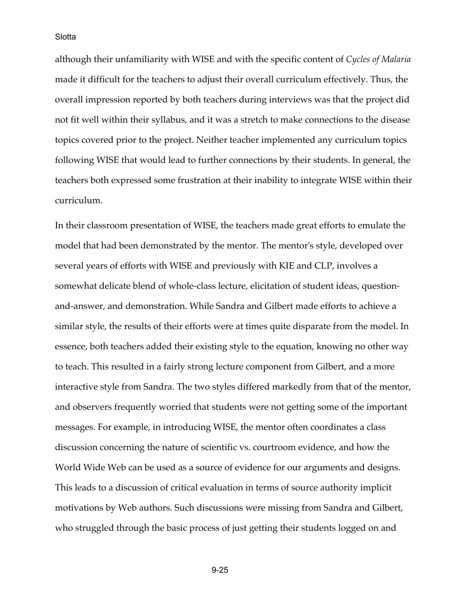although their unfamiliarity with WISE and with the specific content of *Cycles of Malaria* made it difficult for the teachers to adjust their overall curriculum effectively. Thus, the overall impression reported by both teachers during interviews was that the project did not fit well within their syllabus, and it was a stretch to make connections to the disease topics covered prior to the project. Neither teacher implemented any curriculum topics following WISE that would lead to further connections by their students. In general, the teachers both expressed some frustration at their inability to integrate WISE within their curriculum.

In their classroom presentation of WISE, the teachers made great efforts to emulate the model that had been demonstrated by the mentor. The mentor's style, developed over several years of efforts with WISE and previously with KIE and CLP, involves a somewhat delicate blend of whole-class lecture, elicitation of student ideas, questionand-answer, and demonstration. While Sandra and Gilbert made efforts to achieve a similar style, the results of their efforts were at times quite disparate from the model. In essence, both teachers added their existing style to the equation, knowing no other way to teach. This resulted in a fairly strong lecture component from Gilbert, and a more interactive style from Sandra. The two styles differed markedly from that of the mentor, and observers frequently worried that students were not getting some of the important messages. For example, in introducing WISE, the mentor often coordinates a class discussion concerning the nature of scientific vs. courtroom evidence, and how the World Wide Web can be used as a source of evidence for our arguments and designs. This leads to a discussion of critical evaluation in terms of source authority implicit motivations by Web authors. Such discussions were missing from Sandra and Gilbert, who struggled through the basic process of just getting their students logged on and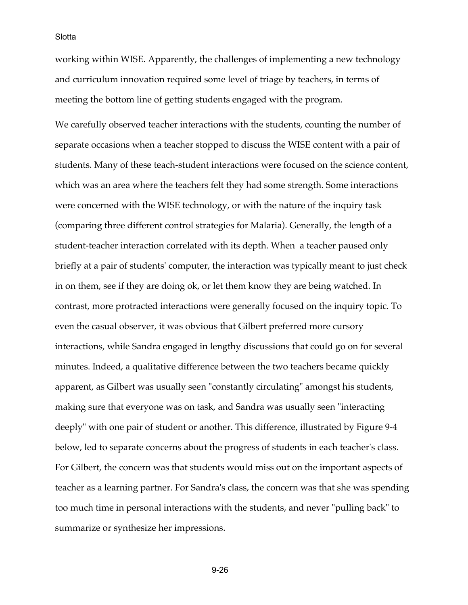working within WISE. Apparently, the challenges of implementing a new technology and curriculum innovation required some level of triage by teachers, in terms of meeting the bottom line of getting students engaged with the program.

We carefully observed teacher interactions with the students, counting the number of separate occasions when a teacher stopped to discuss the WISE content with a pair of students. Many of these teach-student interactions were focused on the science content, which was an area where the teachers felt they had some strength. Some interactions were concerned with the WISE technology, or with the nature of the inquiry task (comparing three different control strategies for Malaria). Generally, the length of a student-teacher interaction correlated with its depth. When a teacher paused only briefly at a pair of students' computer, the interaction was typically meant to just check in on them, see if they are doing ok, or let them know they are being watched. In contrast, more protracted interactions were generally focused on the inquiry topic. To even the casual observer, it was obvious that Gilbert preferred more cursory interactions, while Sandra engaged in lengthy discussions that could go on for several minutes. Indeed, a qualitative difference between the two teachers became quickly apparent, as Gilbert was usually seen "constantly circulating" amongst his students, making sure that everyone was on task, and Sandra was usually seen "interacting deeply" with one pair of student or another. This difference, illustrated by Figure 9-4 below, led to separate concerns about the progress of students in each teacher's class. For Gilbert, the concern was that students would miss out on the important aspects of teacher as a learning partner. For Sandra's class, the concern was that she was spending too much time in personal interactions with the students, and never "pulling back" to summarize or synthesize her impressions.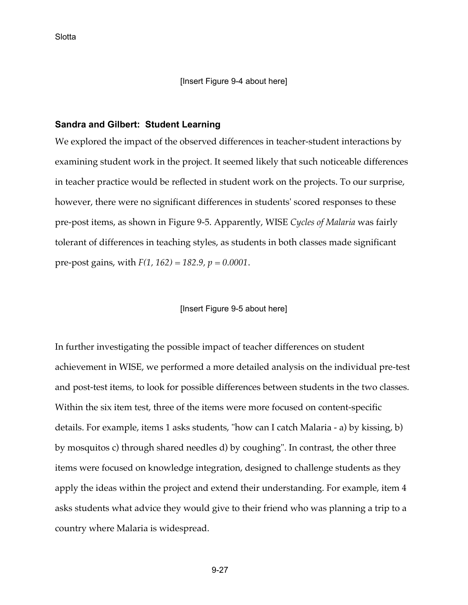[Insert Figure 9-4 about here]

#### **Sandra and Gilbert: Student Learning**

We explored the impact of the observed differences in teacher-student interactions by examining student work in the project. It seemed likely that such noticeable differences in teacher practice would be reflected in student work on the projects. To our surprise, however, there were no significant differences in students' scored responses to these pre-post items, as shown in Figure 9-5. Apparently, WISE *Cycles of Malaria* was fairly tolerant of differences in teaching styles, as students in both classes made significant pre-post gains, with *F(1, 162) = 182.9, p = 0.0001*.

#### [Insert Figure 9-5 about here]

In further investigating the possible impact of teacher differences on student achievement in WISE, we performed a more detailed analysis on the individual pre-test and post-test items, to look for possible differences between students in the two classes. Within the six item test, three of the items were more focused on content-specific details. For example, items 1 asks students, "how can I catch Malaria - a) by kissing, b) by mosquitos c) through shared needles d) by coughing". In contrast, the other three items were focused on knowledge integration, designed to challenge students as they apply the ideas within the project and extend their understanding. For example, item 4 asks students what advice they would give to their friend who was planning a trip to a country where Malaria is widespread.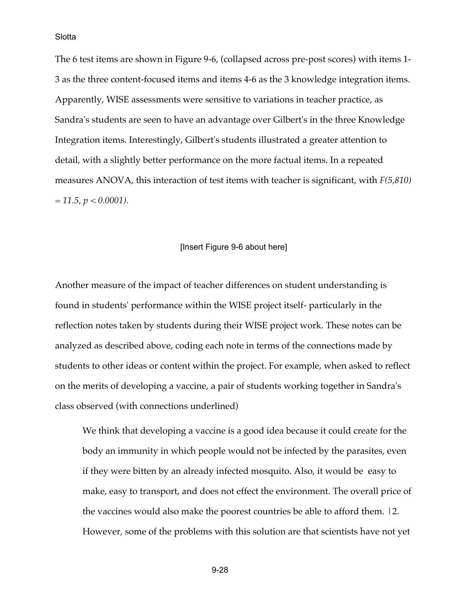The 6 test items are shown in Figure 9-6, (collapsed across pre-post scores) with items 1- 3 as the three content-focused items and items 4-6 as the 3 knowledge integration items. Apparently, WISE assessments were sensitive to variations in teacher practice, as Sandra's students are seen to have an advantage over Gilbert's in the three Knowledge Integration items. Interestingly, Gilbert's students illustrated a greater attention to detail, with a slightly better performance on the more factual items. In a repeated measures ANOVA, this interaction of test items with teacher is significant, with *F(5,810) = 11.5, p < 0.0001).*

#### [Insert Figure 9-6 about here]

Another measure of the impact of teacher differences on student understanding is found in students' performance within the WISE project itself- particularly in the reflection notes taken by students during their WISE project work. These notes can be analyzed as described above, coding each note in terms of the connections made by students to other ideas or content within the project. For example, when asked to reflect on the merits of developing a vaccine, a pair of students working together in Sandra's class observed (with connections underlined)

We think that developing a vaccine is a good idea because it could create for the body an immunity in which people would not be infected by the parasites, even if they were bitten by an already infected mosquito. Also, it would be easy to make, easy to transport, and does not effect the environment. The overall price of the vaccines would also make the poorest countries be able to afford them. |2. However, some of the problems with this solution are that scientists have not yet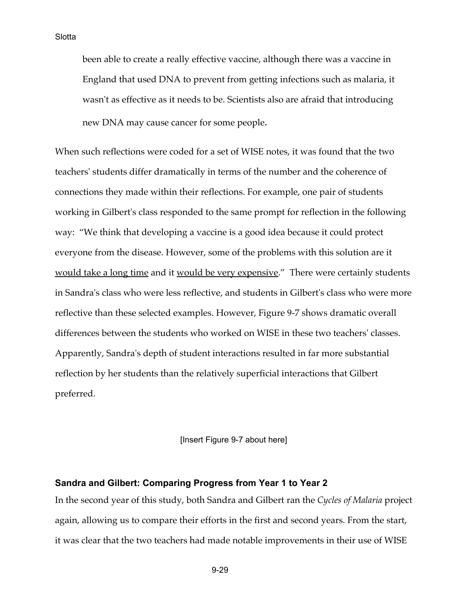been able to create a really effective vaccine, although there was a vaccine in England that used DNA to prevent from getting infections such as malaria, it wasn't as effective as it needs to be. Scientists also are afraid that introducing new DNA may cause cancer for some people*.*

When such reflections were coded for a set of WISE notes, it was found that the two teachers' students differ dramatically in terms of the number and the coherence of connections they made within their reflections. For example, one pair of students working in Gilbert's class responded to the same prompt for reflection in the following way: "We think that developing a vaccine is a good idea because it could protect everyone from the disease. However, some of the problems with this solution are it would take a long time and it would be very expensive." There were certainly students in Sandra's class who were less reflective, and students in Gilbert's class who were more reflective than these selected examples. However, Figure 9-7 shows dramatic overall differences between the students who worked on WISE in these two teachers' classes. Apparently, Sandra's depth of student interactions resulted in far more substantial reflection by her students than the relatively superficial interactions that Gilbert preferred.

[Insert Figure 9-7 about here]

# **Sandra and Gilbert: Comparing Progress from Year 1 to Year 2**

In the second year of this study, both Sandra and Gilbert ran the *Cycles of Malaria* project again, allowing us to compare their efforts in the first and second years. From the start, it was clear that the two teachers had made notable improvements in their use of WISE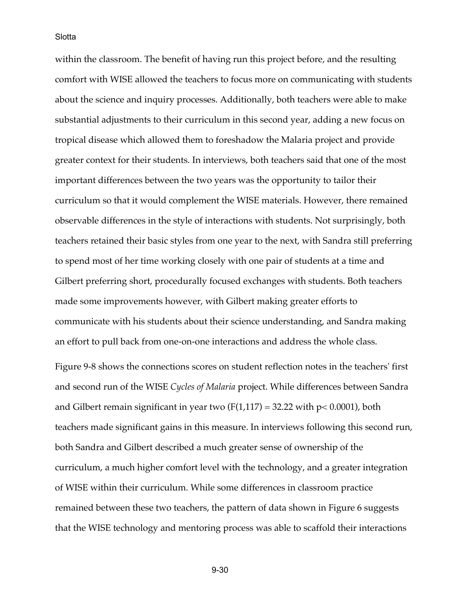within the classroom. The benefit of having run this project before, and the resulting comfort with WISE allowed the teachers to focus more on communicating with students about the science and inquiry processes. Additionally, both teachers were able to make substantial adjustments to their curriculum in this second year, adding a new focus on tropical disease which allowed them to foreshadow the Malaria project and provide greater context for their students. In interviews, both teachers said that one of the most important differences between the two years was the opportunity to tailor their curriculum so that it would complement the WISE materials. However, there remained observable differences in the style of interactions with students. Not surprisingly, both teachers retained their basic styles from one year to the next, with Sandra still preferring to spend most of her time working closely with one pair of students at a time and Gilbert preferring short, procedurally focused exchanges with students. Both teachers made some improvements however, with Gilbert making greater efforts to communicate with his students about their science understanding, and Sandra making an effort to pull back from one-on-one interactions and address the whole class. Figure 9-8 shows the connections scores on student reflection notes in the teachers' first

and second run of the WISE *Cycles of Malaria* project. While differences between Sandra and Gilbert remain significant in year two  $(F(1,117) = 32.22$  with p< 0.0001), both teachers made significant gains in this measure. In interviews following this second run, both Sandra and Gilbert described a much greater sense of ownership of the curriculum, a much higher comfort level with the technology, and a greater integration of WISE within their curriculum. While some differences in classroom practice remained between these two teachers, the pattern of data shown in Figure 6 suggests that the WISE technology and mentoring process was able to scaffold their interactions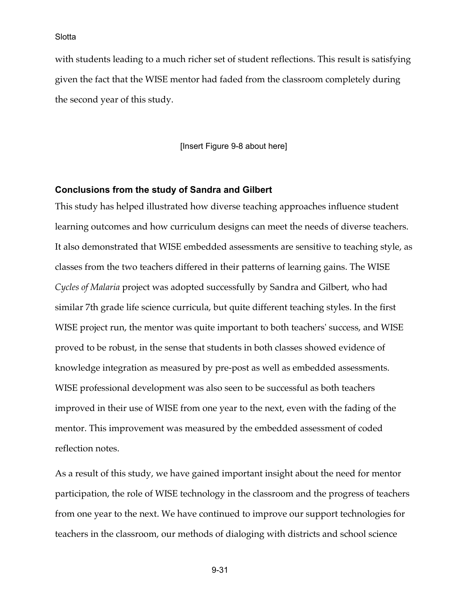with students leading to a much richer set of student reflections. This result is satisfying given the fact that the WISE mentor had faded from the classroom completely during the second year of this study.

[Insert Figure 9-8 about here]

#### **Conclusions from the study of Sandra and Gilbert**

This study has helped illustrated how diverse teaching approaches influence student learning outcomes and how curriculum designs can meet the needs of diverse teachers. It also demonstrated that WISE embedded assessments are sensitive to teaching style, as classes from the two teachers differed in their patterns of learning gains. The WISE *Cycles of Malaria* project was adopted successfully by Sandra and Gilbert, who had similar 7th grade life science curricula, but quite different teaching styles. In the first WISE project run, the mentor was quite important to both teachers' success, and WISE proved to be robust, in the sense that students in both classes showed evidence of knowledge integration as measured by pre-post as well as embedded assessments. WISE professional development was also seen to be successful as both teachers improved in their use of WISE from one year to the next, even with the fading of the mentor. This improvement was measured by the embedded assessment of coded reflection notes.

As a result of this study, we have gained important insight about the need for mentor participation, the role of WISE technology in the classroom and the progress of teachers from one year to the next. We have continued to improve our support technologies for teachers in the classroom, our methods of dialoging with districts and school science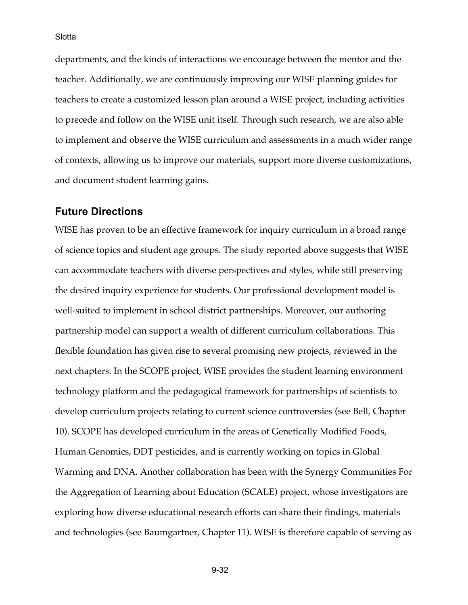departments, and the kinds of interactions we encourage between the mentor and the teacher. Additionally, we are continuously improving our WISE planning guides for teachers to create a customized lesson plan around a WISE project, including activities to precede and follow on the WISE unit itself. Through such research, we are also able to implement and observe the WISE curriculum and assessments in a much wider range of contexts, allowing us to improve our materials, support more diverse customizations, and document student learning gains.

# **Future Directions**

WISE has proven to be an effective framework for inquiry curriculum in a broad range of science topics and student age groups. The study reported above suggests that WISE can accommodate teachers with diverse perspectives and styles, while still preserving the desired inquiry experience for students. Our professional development model is well-suited to implement in school district partnerships. Moreover, our authoring partnership model can support a wealth of different curriculum collaborations. This flexible foundation has given rise to several promising new projects, reviewed in the next chapters. In the SCOPE project, WISE provides the student learning environment technology platform and the pedagogical framework for partnerships of scientists to develop curriculum projects relating to current science controversies (see Bell, Chapter 10). SCOPE has developed curriculum in the areas of Genetically Modified Foods, Human Genomics, DDT pesticides, and is currently working on topics in Global Warming and DNA. Another collaboration has been with the Synergy Communities For the Aggregation of Learning about Education (SCALE) project, whose investigators are exploring how diverse educational research efforts can share their findings, materials and technologies (see Baumgartner, Chapter 11). WISE is therefore capable of serving as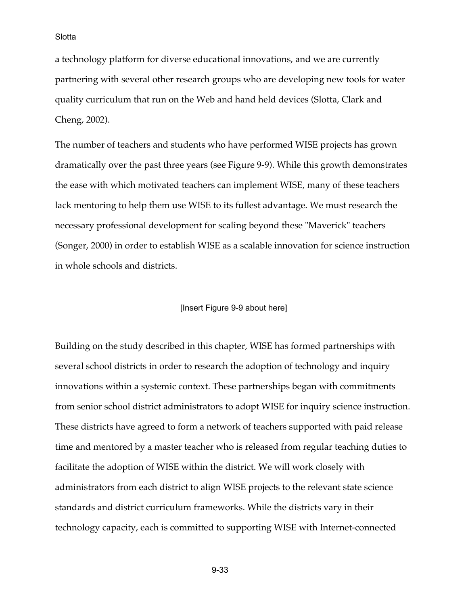a technology platform for diverse educational innovations, and we are currently partnering with several other research groups who are developing new tools for water quality curriculum that run on the Web and hand held devices (Slotta, Clark and Cheng, 2002).

The number of teachers and students who have performed WISE projects has grown dramatically over the past three years (see Figure 9-9). While this growth demonstrates the ease with which motivated teachers can implement WISE, many of these teachers lack mentoring to help them use WISE to its fullest advantage. We must research the necessary professional development for scaling beyond these "Maverick" teachers (Songer, 2000) in order to establish WISE as a scalable innovation for science instruction in whole schools and districts.

#### [Insert Figure 9-9 about here]

Building on the study described in this chapter, WISE has formed partnerships with several school districts in order to research the adoption of technology and inquiry innovations within a systemic context. These partnerships began with commitments from senior school district administrators to adopt WISE for inquiry science instruction. These districts have agreed to form a network of teachers supported with paid release time and mentored by a master teacher who is released from regular teaching duties to facilitate the adoption of WISE within the district. We will work closely with administrators from each district to align WISE projects to the relevant state science standards and district curriculum frameworks. While the districts vary in their technology capacity, each is committed to supporting WISE with Internet-connected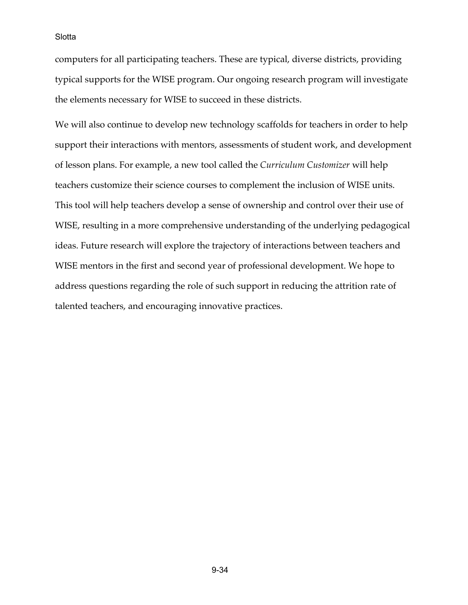computers for all participating teachers. These are typical, diverse districts, providing typical supports for the WISE program. Our ongoing research program will investigate the elements necessary for WISE to succeed in these districts.

We will also continue to develop new technology scaffolds for teachers in order to help support their interactions with mentors, assessments of student work, and development of lesson plans. For example, a new tool called the *Curriculum Customizer* will help teachers customize their science courses to complement the inclusion of WISE units. This tool will help teachers develop a sense of ownership and control over their use of WISE, resulting in a more comprehensive understanding of the underlying pedagogical ideas. Future research will explore the trajectory of interactions between teachers and WISE mentors in the first and second year of professional development. We hope to address questions regarding the role of such support in reducing the attrition rate of talented teachers, and encouraging innovative practices.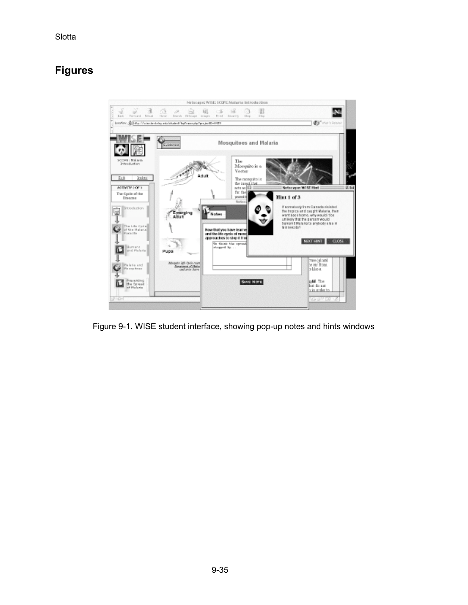# **Figures**



Figure 9-1. WISE student interface, showing pop-up notes and hints windows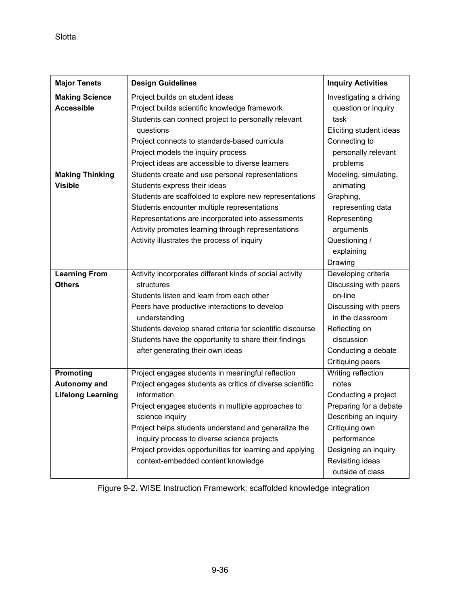| <b>Major Tenets</b>      | <b>Design Guidelines</b>                                  | <b>Inquiry Activities</b> |
|--------------------------|-----------------------------------------------------------|---------------------------|
| <b>Making Science</b>    | Project builds on student ideas                           | Investigating a driving   |
| <b>Accessible</b>        | Project builds scientific knowledge framework             | question or inquiry       |
|                          | Students can connect project to personally relevant       | task                      |
|                          | questions                                                 | Eliciting student ideas   |
|                          | Project connects to standards-based curricula             | Connecting to             |
|                          | Project models the inquiry process                        | personally relevant       |
|                          | Project ideas are accessible to diverse learners          | problems                  |
| <b>Making Thinking</b>   | Students create and use personal representations          | Modeling, simulating,     |
| <b>Visible</b>           | Students express their ideas                              | animating                 |
|                          | Students are scaffolded to explore new representations    | Graphing,                 |
|                          | Students encounter multiple representations               | representing data         |
|                          | Representations are incorporated into assessments         | Representing              |
|                          | Activity promotes learning through representations        | arguments                 |
|                          | Activity illustrates the process of inquiry               | Questioning /             |
|                          |                                                           | explaining                |
|                          |                                                           | Drawing                   |
| <b>Learning From</b>     | Activity incorporates different kinds of social activity  | Developing criteria       |
| <b>Others</b>            | structures                                                | Discussing with peers     |
|                          | Students listen and learn from each other                 | on-line                   |
|                          | Peers have productive interactions to develop             | Discussing with peers     |
|                          | understanding                                             | in the classroom          |
|                          | Students develop shared criteria for scientific discourse | Reflecting on             |
|                          | Students have the opportunity to share their findings     | discussion                |
|                          | after generating their own ideas                          | Conducting a debate       |
|                          |                                                           | Critiquing peers          |
| Promoting                | Project engages students in meaningful reflection         | Writing reflection        |
| Autonomy and             | Project engages students as critics of diverse scientific | notes                     |
| <b>Lifelong Learning</b> | information                                               | Conducting a project      |
|                          | Project engages students in multiple approaches to        | Preparing for a debate    |
|                          | science inquiry                                           | Describing an inquiry     |
|                          | Project helps students understand and generalize the      | Critiquing own            |
|                          | inquiry process to diverse science projects               | performance               |
|                          | Project provides opportunities for learning and applying  | Designing an inquiry      |
|                          | context-embedded content knowledge                        | Revisiting ideas          |
|                          |                                                           | outside of class          |

Figure 9-2. WISE Instruction Framework: scaffolded knowledge integration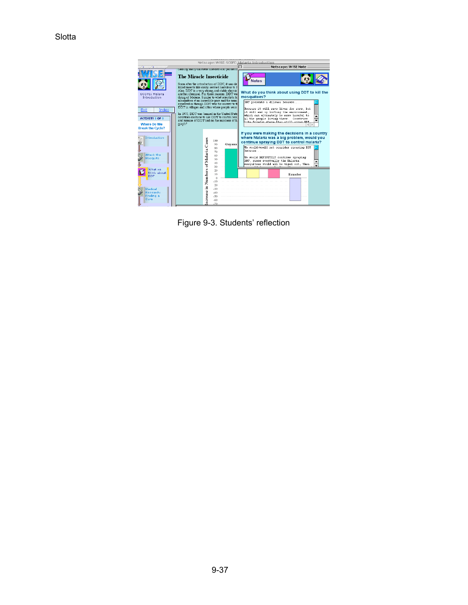

Figure 9-3. Students' reflection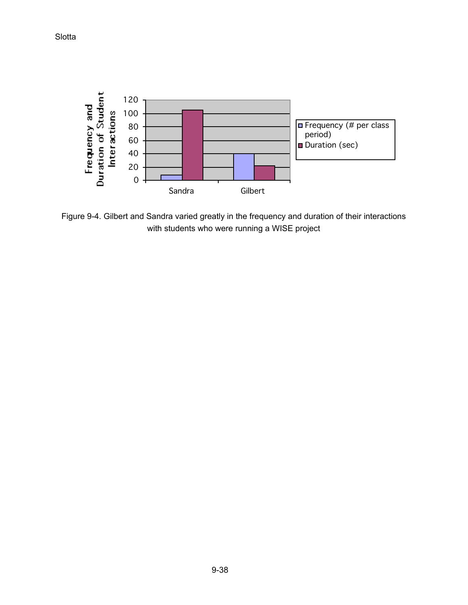

Figure 9-4. Gilbert and Sandra varied greatly in the frequency and duration of their interactions with students who were running a WISE project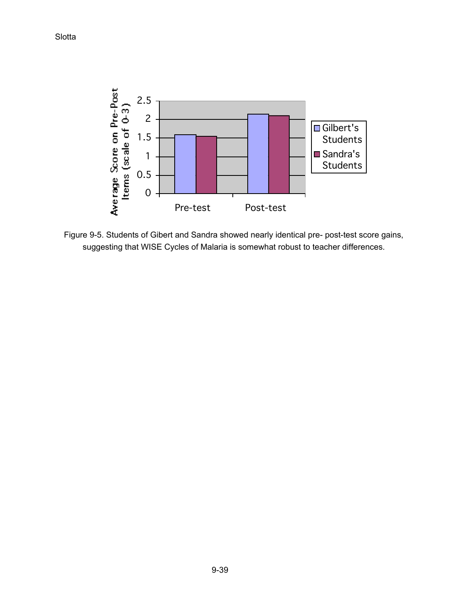

Figure 9-5. Students of Gibert and Sandra showed nearly identical pre- post-test score gains, suggesting that WISE Cycles of Malaria is somewhat robust to teacher differences.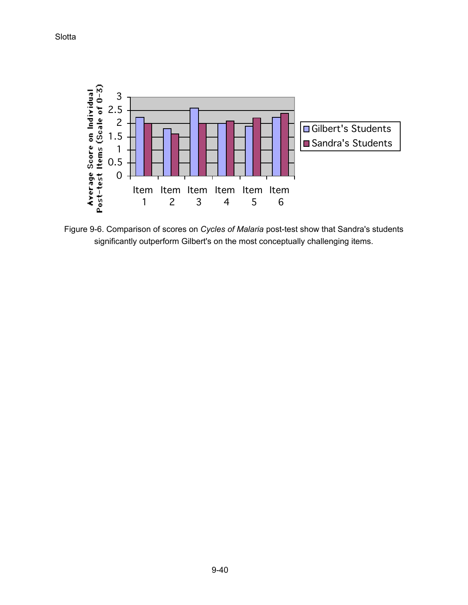

Figure 9-6. Comparison of scores on *Cycles of Malaria* post-test show that Sandra's students significantly outperform Gilbert's on the most conceptually challenging items.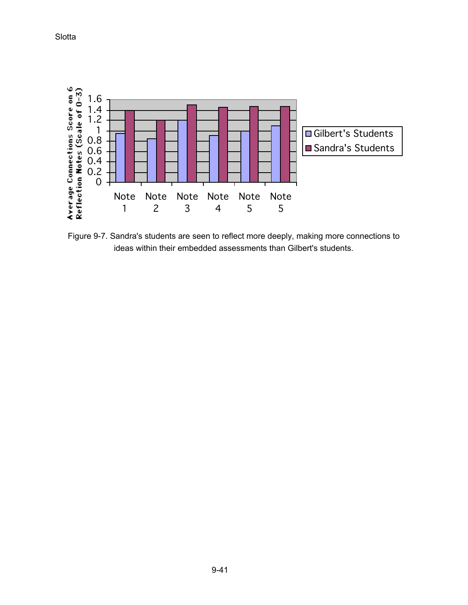

Figure 9-7. Sandra's students are seen to reflect more deeply, making more connections to ideas within their embedded assessments than Gilbert's students.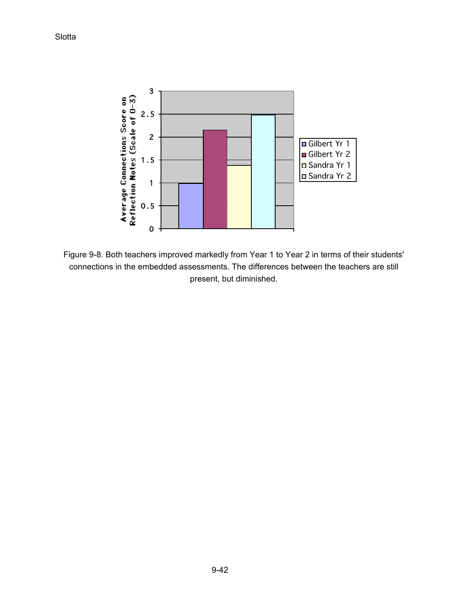

Figure 9-8. Both teachers improved markedly from Year 1 to Year 2 in terms of their students' connections in the embedded assessments. The differences between the teachers are still present, but diminished.